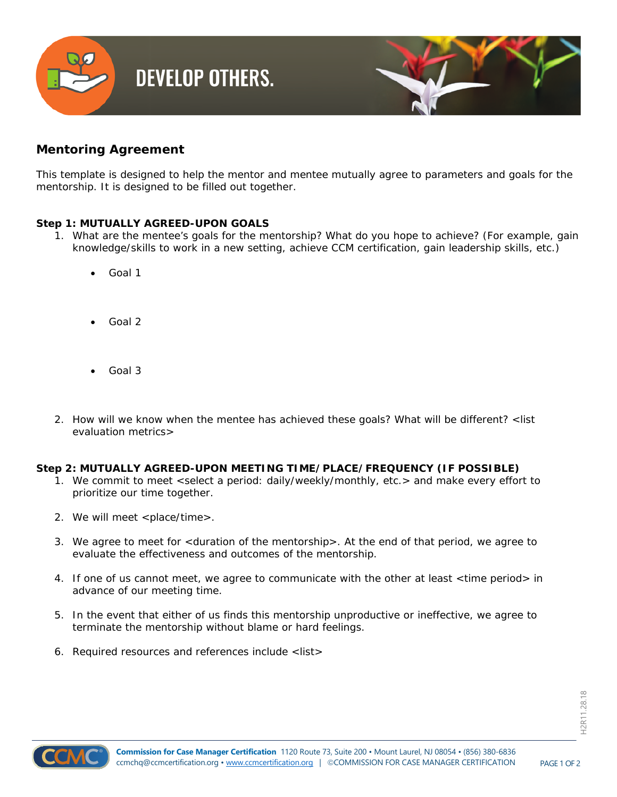

## **Mentoring Agreement**

*This template is designed to help the mentor and mentee mutually agree to parameters and goals for the mentorship. It is designed to be filled out together.* 

## **Step 1: MUTUALLY AGREED-UPON GOALS**

- 1. What are the mentee's goals for the mentorship? What do you hope to achieve? (For example, gain knowledge/skills to work in a new setting, achieve CCM certification, gain leadership skills, etc.)
	- Goal 1
	- Goal 2
	- Goal 3
- 2. How will we know when the mentee has achieved these goals? What will be different? <list evaluation metrics>

## **Step 2: MUTUALLY AGREED-UPON MEETING TIME/PLACE/FREQUENCY (IF POSSIBLE)**

- 1. We commit to meet <select a period: daily/weekly/monthly, etc.> and make every effort to prioritize our time together.
- 2. We will meet <place/time>.
- 3. We agree to meet for <duration of the mentorship>. At the end of that period, we agree to evaluate the effectiveness and outcomes of the mentorship.
- 4. If one of us cannot meet, we agree to communicate with the other at least <time period> in advance of our meeting time.
- 5. In the event that either of us finds this mentorship unproductive or ineffective, we agree to terminate the mentorship without blame or hard feelings.
- 6. Required resources and references include <list>